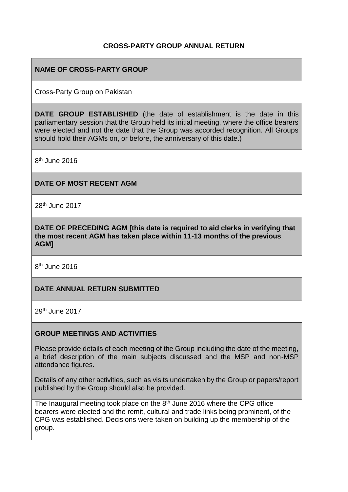### **CROSS-PARTY GROUP ANNUAL RETURN**

### **NAME OF CROSS-PARTY GROUP**

Cross-Party Group on Pakistan

**DATE GROUP ESTABLISHED** (the date of establishment is the date in this parliamentary session that the Group held its initial meeting, where the office bearers were elected and not the date that the Group was accorded recognition. All Groups should hold their AGMs on, or before, the anniversary of this date.)

8<sup>th</sup> June 2016

#### **DATE OF MOST RECENT AGM**

28th June 2017

**DATE OF PRECEDING AGM [this date is required to aid clerks in verifying that the most recent AGM has taken place within 11-13 months of the previous AGM]**

8<sup>th</sup> June 2016

### **DATE ANNUAL RETURN SUBMITTED**

29th June 2017

#### **GROUP MEETINGS AND ACTIVITIES**

Please provide details of each meeting of the Group including the date of the meeting, a brief description of the main subjects discussed and the MSP and non-MSP attendance figures.

Details of any other activities, such as visits undertaken by the Group or papers/report published by the Group should also be provided.

The Inaugural meeting took place on the 8<sup>th</sup> June 2016 where the CPG office bearers were elected and the remit, cultural and trade links being prominent, of the CPG was established. Decisions were taken on building up the membership of the group.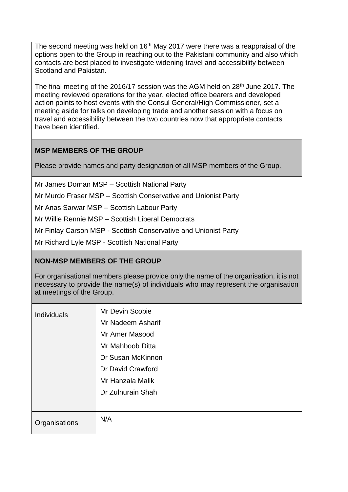The second meeting was held on 16<sup>th</sup> May 2017 were there was a reappraisal of the options open to the Group in reaching out to the Pakistani community and also which contacts are best placed to investigate widening travel and accessibility between Scotland and Pakistan.

The final meeting of the 2016/17 session was the AGM held on 28<sup>th</sup> June 2017. The meeting reviewed operations for the year, elected office bearers and developed action points to host events with the Consul General/High Commissioner, set a meeting aside for talks on developing trade and another session with a focus on travel and accessibility between the two countries now that appropriate contacts have been identified.

### **MSP MEMBERS OF THE GROUP**

Please provide names and party designation of all MSP members of the Group.

Mr James Dornan MSP – Scottish National Party

Mr Murdo Fraser MSP – Scottish Conservative and Unionist Party

Mr Anas Sarwar MSP – Scottish Labour Party

Mr Willie Rennie MSP – Scottish Liberal Democrats

Mr Finlay Carson MSP - Scottish Conservative and Unionist Party

Mr Richard Lyle MSP - Scottish National Party

### **NON-MSP MEMBERS OF THE GROUP**

For organisational members please provide only the name of the organisation, it is not necessary to provide the name(s) of individuals who may represent the organisation at meetings of the Group.

| <b>Individuals</b> | Mr Devin Scobie<br>Mr Nadeem Asharif<br>Mr Amer Masood<br>Mr Mahboob Ditta<br>Dr Susan McKinnon<br>Dr David Crawford<br>Mr Hanzala Malik<br>Dr Zulnurain Shah |
|--------------------|---------------------------------------------------------------------------------------------------------------------------------------------------------------|
| Organisations      | N/A                                                                                                                                                           |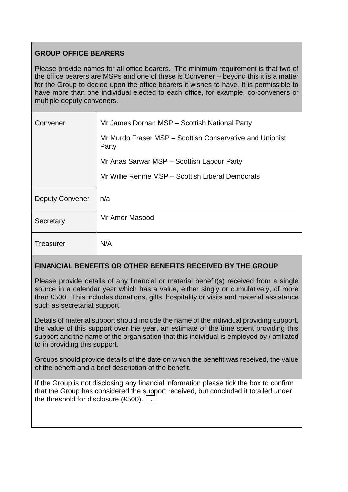# **GROUP OFFICE BEARERS**

Please provide names for all office bearers. The minimum requirement is that two of the office bearers are MSPs and one of these is Convener – beyond this it is a matter for the Group to decide upon the office bearers it wishes to have. It is permissible to have more than one individual elected to each office, for example, co-conveners or multiple deputy conveners.

| Convener               | Mr James Dornan MSP - Scottish National Party                     |
|------------------------|-------------------------------------------------------------------|
|                        | Mr Murdo Fraser MSP - Scottish Conservative and Unionist<br>Party |
|                        | Mr Anas Sarwar MSP - Scottish Labour Party                        |
|                        | Mr Willie Rennie MSP - Scottish Liberal Democrats                 |
| <b>Deputy Convener</b> | n/a                                                               |
| Secretary              | Mr Amer Masood                                                    |
| <b>Treasurer</b>       | N/A                                                               |

# **FINANCIAL BENEFITS OR OTHER BENEFITS RECEIVED BY THE GROUP**

Please provide details of any financial or material benefit(s) received from a single source in a calendar year which has a value, either singly or cumulatively, of more than £500. This includes donations, gifts, hospitality or visits and material assistance such as secretariat support.

Details of material support should include the name of the individual providing support, the value of this support over the year, an estimate of the time spent providing this support and the name of the organisation that this individual is employed by / affiliated to in providing this support.

Groups should provide details of the date on which the benefit was received, the value of the benefit and a brief description of the benefit.

If the Group is not disclosing any financial information please tick the box to confirm that the Group has considered the support received, but concluded it totalled under the threshold for disclosure (£500).  $\sqrt{2}$